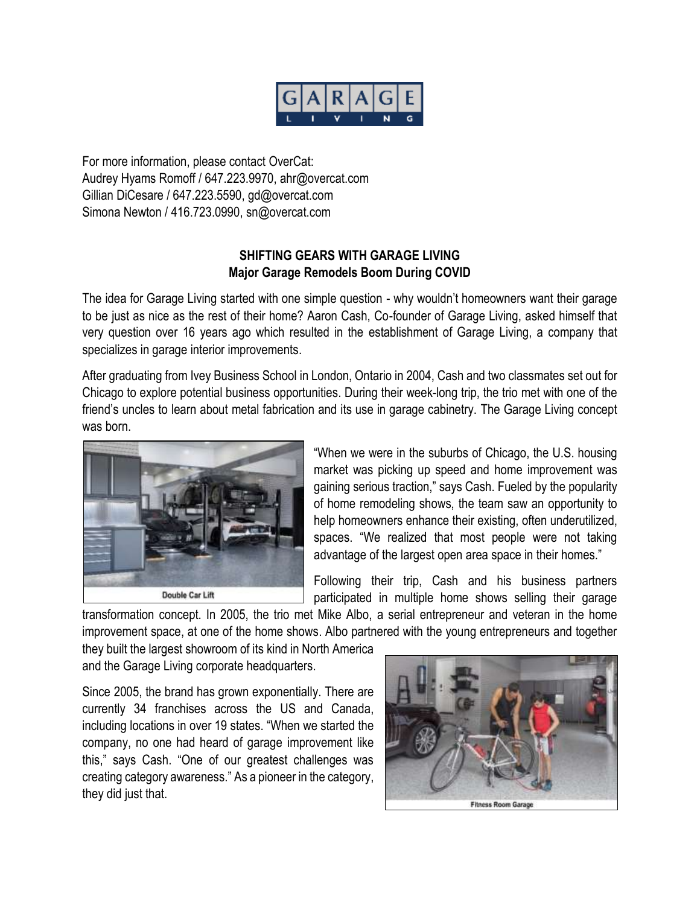

For more information, please contact OverCat: Audrey Hyams Romoff / 647.223.9970, ahr@overcat.com Gillian DiCesare / 647.223.5590, gd@overcat.com Simona Newton / 416.723.0990, sn@overcat.com

## **SHIFTING GEARS WITH GARAGE LIVING Major Garage Remodels Boom During COVID**

The idea for Garage Living started with one simple question - why wouldn't homeowners want their garage to be just as nice as the rest of their home? Aaron Cash, Co-founder of Garage Living, asked himself that very question over 16 years ago which resulted in the establishment of Garage Living, a company that specializes in garage interior improvements.

After graduating from Ivey Business School in London, Ontario in 2004, Cash and two classmates set out for Chicago to explore potential business opportunities. During their week-long trip, the trio met with one of the friend's uncles to learn about metal fabrication and its use in garage cabinetry. The Garage Living concept was born.



"When we were in the suburbs of Chicago, the U.S. housing market was picking up speed and home improvement was gaining serious traction," says Cash. Fueled by the popularity of home remodeling shows, the team saw an opportunity to help homeowners enhance their existing, often underutilized, spaces. "We realized that most people were not taking advantage of the largest open area space in their homes."

Following their trip, Cash and his business partners participated in multiple home shows selling their garage

transformation concept. In 2005, the trio met Mike Albo, a serial entrepreneur and veteran in the home improvement space, at one of the home shows. Albo partnered with the young entrepreneurs and together

they built the largest showroom of its kind in North America and the Garage Living corporate headquarters.

Since 2005, the brand has grown exponentially. There are currently 34 franchises across the US and Canada, including locations in over 19 states. "When we started the company, no one had heard of garage improvement like this," says Cash. "One of our greatest challenges was creating category awareness." As a pioneer in the category, they did just that.